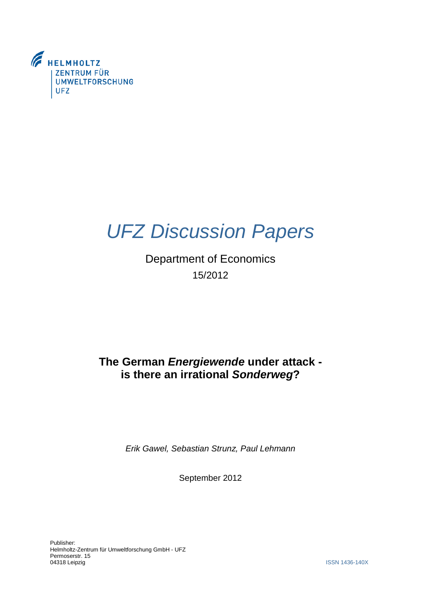

# *UFZ Discussion Papers*

Department of Economics 15/2012

## **The German** *Energiewende* **under attack is there an irrational** *Sonderweg***?**

*Erik Gawel, Sebastian Strunz, Paul Lehmann*

September 2012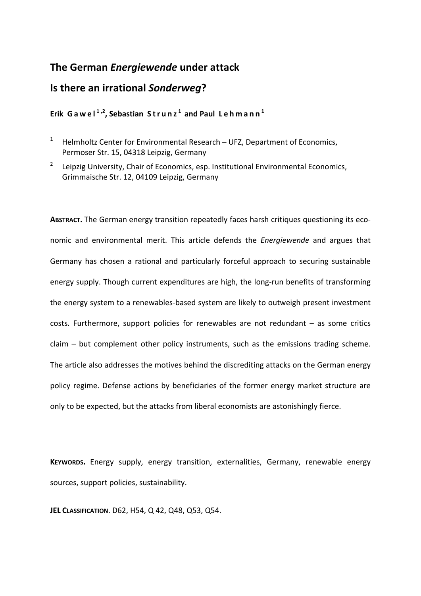## **The German** *Energiewende* **under attack**

## **Is there an irrational** *Sonderweg***?**

### **Erik Gawel 1 ,2, Sebastian Strunz <sup>1</sup> and Paul Lehmann <sup>1</sup>**

- 1 Helmholtz Center for Environmental Research – UFZ, Department of Economics, Permoser Str. 15, 04318 Leipzig, Germany
- 2 Leipzig University, Chair of Economics, esp. Institutional Environmental Economics, Grimmaische Str. 12, 04109 Leipzig, Germany

ABSTRACT. The German energy transition repeatedly faces harsh critiques questioning its economic and environmental merit. This article defends the *Energiewende* and argues that Germany has chosen a rational and particularly forceful approach to securing sustainable energy supply. Though current expenditures are high, the long-run benefits of transforming the energy system to a renewables‐based system are likely to outweigh present investment costs. Furthermore, support policies for renewables are not redundant – as some critics claim – but complement other policy instruments, such as the emissions trading scheme. The article also addresses the motives behind the discrediting attacks on the German energy policy regime. Defense actions by beneficiaries of the former energy market structure are only to be expected, but the attacks from liberal economists are astonishingly fierce.

**KEYWORDS.** Energy supply, energy transition, externalities, Germany, renewable energy sources, support policies, sustainability.

**JEL CLASSIFICATION**. D62, H54, Q 42, Q48, Q53, Q54.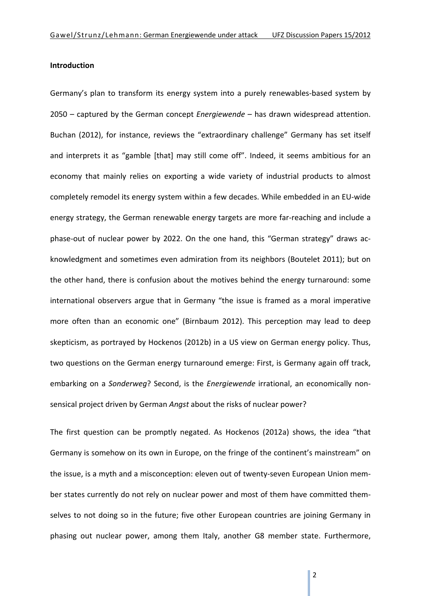#### **Introduction**

Germany's plan to transform its energy system into a purely renewables‐based system by 2050 – captured by the German concept *Energiewende* – has drawn widespread attention. Buchan (2012), for instance, reviews the "extraordinary challenge" Germany has set itself and interprets it as "gamble [that] may still come off". Indeed, it seems ambitious for an economy that mainly relies on exporting a wide variety of industrial products to almost completely remodel its energy system within a few decades. While embedded in an EU‐wide energy strategy, the German renewable energy targets are more far-reaching and include a phase‐out of nuclear power by 2022. On the one hand, this "German strategy" draws ac‐ knowledgment and sometimes even admiration from its neighbors (Boutelet 2011); but on the other hand, there is confusion about the motives behind the energy turnaround: some international observers argue that in Germany "the issue is framed as a moral imperative more often than an economic one" (Birnbaum 2012). This perception may lead to deep skepticism, as portrayed by Hockenos (2012b) in a US view on German energy policy. Thus, two questions on the German energy turnaround emerge: First, is Germany again off track, embarking on a *Sonderweg*? Second, is the *Energiewende* irrational, an economically non‐ sensical project driven by German *Angst* about the risks of nuclear power?

The first question can be promptly negated. As Hockenos (2012a) shows, the idea "that Germany is somehow on its own in Europe, on the fringe of the continent's mainstream" on the issue, is a myth and a misconception: eleven out of twenty‐seven European Union mem‐ ber states currently do not rely on nuclear power and most of them have committed themselves to not doing so in the future; five other European countries are joining Germany in phasing out nuclear power, among them Italy, another G8 member state. Furthermore,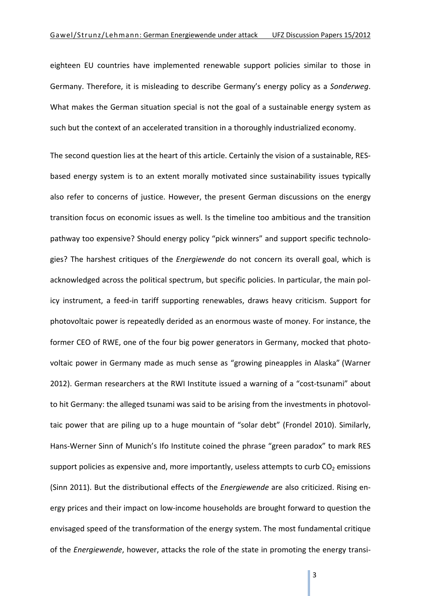eighteen EU countries have implemented renewable support policies similar to those in Germany. Therefore, it is misleading to describe Germany's energy policy as a *Sonderweg*. What makes the German situation special is not the goal of a sustainable energy system as such but the context of an accelerated transition in a thoroughly industrialized economy.

The second question lies at the heart of this article. Certainly the vision of a sustainable, RES‐ based energy system is to an extent morally motivated since sustainability issues typically also refer to concerns of justice. However, the present German discussions on the energy transition focus on economic issues as well. Is the timeline too ambitious and the transition pathway too expensive? Should energy policy "pick winners" and support specific technolo‐ gies? The harshest critiques of the *Energiewende* do not concern its overall goal, which is acknowledged across the political spectrum, but specific policies. In particular, the main pol‐ icy instrument, a feed-in tariff supporting renewables, draws heavy criticism. Support for photovoltaic power is repeatedly derided as an enormous waste of money. For instance, the former CEO of RWE, one of the four big power generators in Germany, mocked that photovoltaic power in Germany made as much sense as "growing pineapples in Alaska" (Warner 2012). German researchers at the RWI Institute issued a warning of a "cost-tsunami" about to hit Germany: the alleged tsunami was said to be arising from the investments in photovoltaic power that are piling up to a huge mountain of "solar debt" (Frondel 2010). Similarly, Hans-Werner Sinn of Munich's Ifo Institute coined the phrase "green paradox" to mark RES support policies as expensive and, more importantly, useless attempts to curb  $CO<sub>2</sub>$  emissions (Sinn 2011). But the distributional effects of the *Energiewende* are also criticized. Rising en‐ ergy prices and their impact on low‐income households are brought forward to question the envisaged speed of the transformation of the energy system. The most fundamental critique of the *Energiewende*, however, attacks the role of the state in promoting the energy transi‐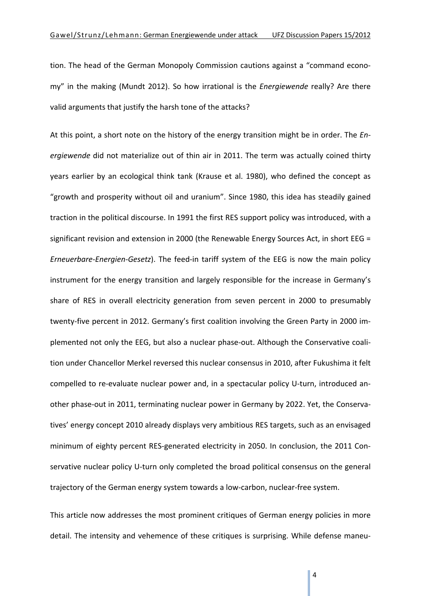tion. The head of the German Monopoly Commission cautions against a "command econo‐ my" in the making (Mundt 2012). So how irrational is the *Energiewende* really? Are there valid arguments that justify the harsh tone of the attacks?

At this point, a short note on the history of the energy transition might be in order. The *En‐ ergiewende* did not materialize out of thin air in 2011. The term was actually coined thirty years earlier by an ecological think tank (Krause et al. 1980), who defined the concept as "growth and prosperity without oil and uranium". Since 1980, this idea has steadily gained traction in the political discourse. In 1991 the first RES support policy was introduced, with a significant revision and extension in 2000 (the Renewable Energy Sources Act, in short EEG = *Erneuerbare‐Energien‐Gesetz*). The feed‐in tariff system of the EEG is now the main policy instrument for the energy transition and largely responsible for the increase in Germany's share of RES in overall electricity generation from seven percent in 2000 to presumably twenty‐five percent in 2012. Germany's first coalition involving the Green Party in 2000 im‐ plemented not only the EEG, but also a nuclear phase‐out. Although the Conservative coali‐ tion under Chancellor Merkel reversed this nuclear consensus in 2010, after Fukushima it felt compelled to re‐evaluate nuclear power and, in a spectacular policy U‐turn, introduced an‐ other phase‐out in 2011, terminating nuclear power in Germany by 2022. Yet, the Conserva‐ tives' energy concept 2010 already displays very ambitious RES targets, such as an envisaged minimum of eighty percent RES‐generated electricity in 2050. In conclusion, the 2011 Con‐ servative nuclear policy U-turn only completed the broad political consensus on the general trajectory of the German energy system towards a low‐carbon, nuclear‐free system.

This article now addresses the most prominent critiques of German energy policies in more detail. The intensity and vehemence of these critiques is surprising. While defense maneu‐

 $\Delta$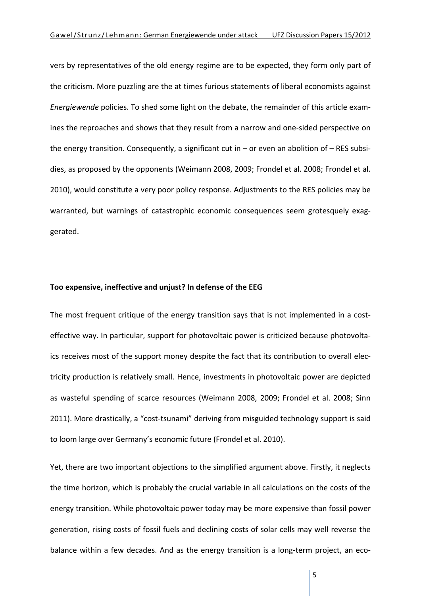vers by representatives of the old energy regime are to be expected, they form only part of the criticism. More puzzling are the at times furious statements of liberal economists against *Energiewende* policies. To shed some light on the debate, the remainder of this article exam‐ ines the reproaches and shows that they result from a narrow and one‐sided perspective on the energy transition. Consequently, a significant cut in – or even an abolition of – RES subsidies, as proposed by the opponents (Weimann 2008, 2009; Frondel et al. 2008; Frondel et al. 2010), would constitute a very poor policy response. Adjustments to the RES policies may be warranted, but warnings of catastrophic economic consequences seem grotesquely exaggerated.

#### **Too expensive, ineffective and unjust? In defense of the EEG**

The most frequent critique of the energy transition says that is not implemented in a costeffective way. In particular, support for photovoltaic power is criticized because photovolta‐ ics receives most of the support money despite the fact that its contribution to overall elec‐ tricity production is relatively small. Hence, investments in photovoltaic power are depicted as wasteful spending of scarce resources (Weimann 2008, 2009; Frondel et al. 2008; Sinn 2011). More drastically, a "cost‐tsunami" deriving from misguided technology support is said to loom large over Germany's economic future (Frondel et al. 2010).

Yet, there are two important objections to the simplified argument above. Firstly, it neglects the time horizon, which is probably the crucial variable in all calculations on the costs of the energy transition. While photovoltaic power today may be more expensive than fossil power generation, rising costs of fossil fuels and declining costs of solar cells may well reverse the balance within a few decades. And as the energy transition is a long-term project, an eco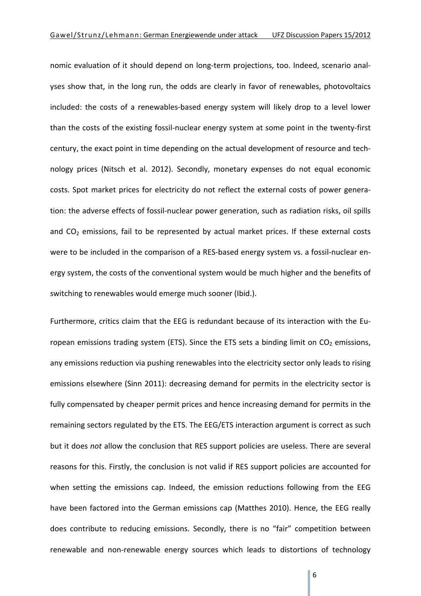nomic evaluation of it should depend on long-term projections, too. Indeed, scenario analyses show that, in the long run, the odds are clearly in favor of renewables, photovoltaics included: the costs of a renewables‐based energy system will likely drop to a level lower than the costs of the existing fossil‐nuclear energy system at some point in the twenty‐first century, the exact point in time depending on the actual development of resource and tech‐ nology prices (Nitsch et al. 2012). Secondly, monetary expenses do not equal economic costs. Spot market prices for electricity do not reflect the external costs of power genera‐ tion: the adverse effects of fossil‐nuclear power generation, such as radiation risks, oil spills and  $CO<sub>2</sub>$  emissions, fail to be represented by actual market prices. If these external costs were to be included in the comparison of a RES-based energy system vs. a fossil-nuclear energy system, the costs of the conventional system would be much higher and the benefits of switching to renewables would emerge much sooner (Ibid.).

Furthermore, critics claim that the EEG is redundant because of its interaction with the Eu‐ ropean emissions trading system (ETS). Since the ETS sets a binding limit on  $CO<sub>2</sub>$  emissions, any emissions reduction via pushing renewables into the electricity sector only leads to rising emissions elsewhere (Sinn 2011): decreasing demand for permits in the electricity sector is fully compensated by cheaper permit prices and hence increasing demand for permits in the remaining sectors regulated by the ETS. The EEG/ETS interaction argument is correct as such but it does *not* allow the conclusion that RES support policies are useless. There are several reasons for this. Firstly, the conclusion is not valid if RES support policies are accounted for when setting the emissions cap. Indeed, the emission reductions following from the EEG have been factored into the German emissions cap (Matthes 2010). Hence, the EEG really does contribute to reducing emissions. Secondly, there is no "fair" competition between renewable and non‐renewable energy sources which leads to distortions of technology

6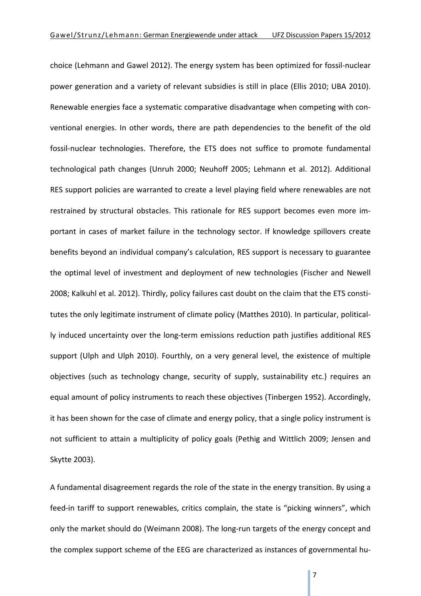choice (Lehmann and Gawel 2012). The energy system has been optimized for fossil‐nuclear power generation and a variety of relevant subsidies is still in place (Ellis 2010; UBA 2010). Renewable energies face a systematic comparative disadvantage when competing with con‐ ventional energies. In other words, there are path dependencies to the benefit of the old fossil-nuclear technologies. Therefore, the ETS does not suffice to promote fundamental technological path changes (Unruh 2000; Neuhoff 2005; Lehmann et al. 2012). Additional RES support policies are warranted to create a level playing field where renewables are not restrained by structural obstacles. This rationale for RES support becomes even more im‐ portant in cases of market failure in the technology sector. If knowledge spillovers create benefits beyond an individual company's calculation, RES support is necessary to guarantee the optimal level of investment and deployment of new technologies (Fischer and Newell 2008; Kalkuhl et al. 2012). Thirdly, policy failures cast doubt on the claim that the ETS consti‐ tutes the only legitimate instrument of climate policy (Matthes 2010). In particular, political‐ ly induced uncertainty over the long‐term emissions reduction path justifies additional RES support (Ulph and Ulph 2010). Fourthly, on a very general level, the existence of multiple objectives (such as technology change, security of supply, sustainability etc.) requires an equal amount of policy instruments to reach these objectives (Tinbergen 1952). Accordingly, it has been shown for the case of climate and energy policy, that a single policy instrument is not sufficient to attain a multiplicity of policy goals (Pethig and Wittlich 2009; Jensen and Skytte 2003).

A fundamental disagreement regards the role of the state in the energy transition. By using a feed-in tariff to support renewables, critics complain, the state is "picking winners", which only the market should do (Weimann 2008). The long‐run targets of the energy concept and the complex support scheme of the EEG are characterized as instances of governmental hu‐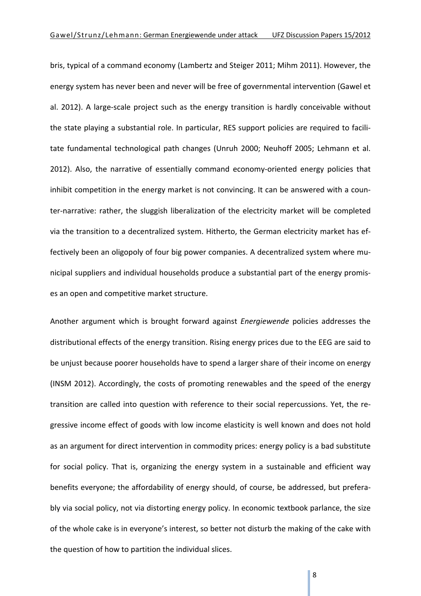bris, typical of a command economy (Lambertz and Steiger 2011; Mihm 2011). However, the energy system has never been and never will be free of governmental intervention (Gawel et al. 2012). A large‐scale project such as the energy transition is hardly conceivable without the state playing a substantial role. In particular, RES support policies are required to facili‐ tate fundamental technological path changes (Unruh 2000; Neuhoff 2005; Lehmann et al. 2012). Also, the narrative of essentially command economy‐oriented energy policies that inhibit competition in the energy market is not convincing. It can be answered with a coun‐ ter‐narrative: rather, the sluggish liberalization of the electricity market will be completed via the transition to a decentralized system. Hitherto, the German electricity market has ef‐ fectively been an oligopoly of four big power companies. A decentralized system where municipal suppliers and individual households produce a substantial part of the energy promis‐ es an open and competitive market structure.

Another argument which is brought forward against *Energiewende* policies addresses the distributional effects of the energy transition. Rising energy prices due to the EEG are said to be unjust because poorer households have to spend a larger share of their income on energy (INSM 2012). Accordingly, the costs of promoting renewables and the speed of the energy transition are called into question with reference to their social repercussions. Yet, the re‐ gressive income effect of goods with low income elasticity is well known and does not hold as an argument for direct intervention in commodity prices: energy policy is a bad substitute for social policy. That is, organizing the energy system in a sustainable and efficient way benefits everyone; the affordability of energy should, of course, be addressed, but preferably via social policy, not via distorting energy policy. In economic textbook parlance, the size of the whole cake is in everyone's interest, so better not disturb the making of the cake with the question of how to partition the individual slices.

8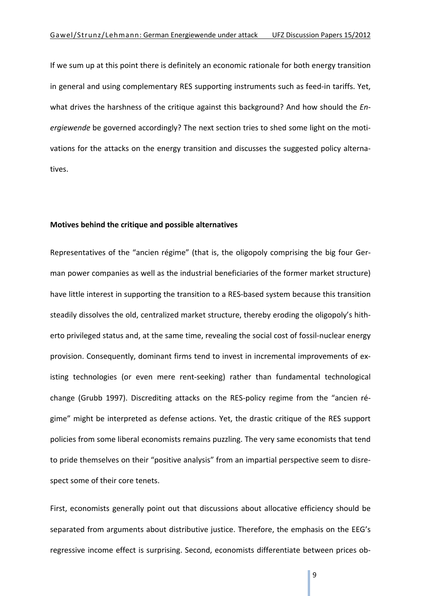If we sum up at this point there is definitely an economic rationale for both energy transition in general and using complementary RES supporting instruments such as feed-in tariffs. Yet, what drives the harshness of the critique against this background? And how should the *En‐ ergiewende* be governed accordingly? The next section tries to shed some light on the moti‐ vations for the attacks on the energy transition and discusses the suggested policy alterna‐ tives.

#### **Motives behind the critique and possible alternatives**

Representatives of the "ancien régime" (that is, the oligopoly comprising the big four Ger‐ man power companies as well as the industrial beneficiaries of the former market structure) have little interest in supporting the transition to a RES-based system because this transition steadily dissolves the old, centralized market structure, thereby eroding the oligopoly's hith‐ erto privileged status and, at the same time, revealing the social cost of fossil‐nuclear energy provision. Consequently, dominant firms tend to invest in incremental improvements of existing technologies (or even mere rent‐seeking) rather than fundamental technological change (Grubb 1997). Discrediting attacks on the RES‐policy regime from the "ancien ré‐ gime" might be interpreted as defense actions. Yet, the drastic critique of the RES support policies from some liberal economists remains puzzling. The very same economists that tend to pride themselves on their "positive analysis" from an impartial perspective seem to disre‐ spect some of their core tenets.

First, economists generally point out that discussions about allocative efficiency should be separated from arguments about distributive justice. Therefore, the emphasis on the EEG's regressive income effect is surprising. Second, economists differentiate between prices ob‐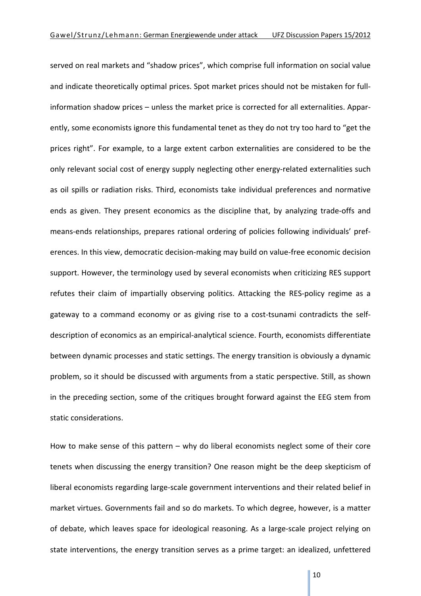served on real markets and "shadow prices", which comprise full information on social value and indicate theoretically optimal prices. Spot market prices should not be mistaken for full‐ information shadow prices – unless the market price is corrected for all externalities. Appar‐ ently, some economists ignore this fundamental tenet as they do not try too hard to "get the prices right". For example, to a large extent carbon externalities are considered to be the only relevant social cost of energy supply neglecting other energy‐related externalities such as oil spills or radiation risks. Third, economists take individual preferences and normative ends as given. They present economics as the discipline that, by analyzing trade‐offs and means-ends relationships, prepares rational ordering of policies following individuals' preferences. In this view, democratic decision‐making may build on value‐free economic decision support. However, the terminology used by several economists when criticizing RES support refutes their claim of impartially observing politics. Attacking the RES‐policy regime as a gateway to a command economy or as giving rise to a cost-tsunami contradicts the selfdescription of economics as an empirical‐analytical science. Fourth, economists differentiate between dynamic processes and static settings. The energy transition is obviously a dynamic problem, so it should be discussed with arguments from a static perspective. Still, as shown in the preceding section, some of the critiques brought forward against the EEG stem from static considerations.

How to make sense of this pattern – why do liberal economists neglect some of their core tenets when discussing the energy transition? One reason might be the deep skepticism of liberal economists regarding large‐scale government interventions and their related belief in market virtues. Governments fail and so do markets. To which degree, however, is a matter of debate, which leaves space for ideological reasoning. As a large‐scale project relying on state interventions, the energy transition serves as a prime target: an idealized, unfettered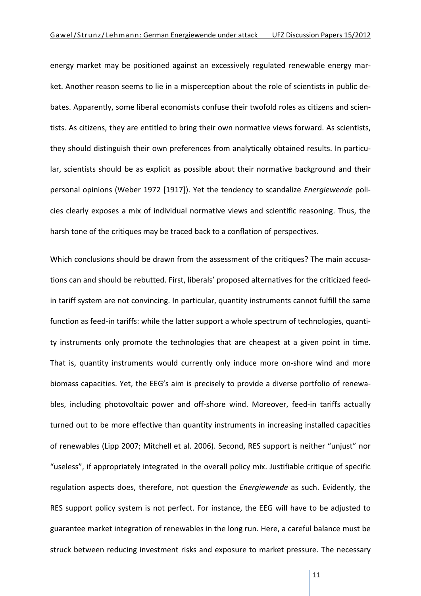energy market may be positioned against an excessively regulated renewable energy mar‐ ket. Another reason seems to lie in a misperception about the role of scientists in public de‐ bates. Apparently, some liberal economists confuse their twofold roles as citizens and scien‐ tists. As citizens, they are entitled to bring their own normative views forward. As scientists, they should distinguish their own preferences from analytically obtained results. In particular, scientists should be as explicit as possible about their normative background and their personal opinions (Weber 1972 [1917]). Yet the tendency to scandalize *Energiewende* poli‐ cies clearly exposes a mix of individual normative views and scientific reasoning. Thus, the harsh tone of the critiques may be traced back to a conflation of perspectives.

Which conclusions should be drawn from the assessment of the critiques? The main accusations can and should be rebutted. First, liberals' proposed alternatives for the criticized feed‐ in tariff system are not convincing. In particular, quantity instruments cannot fulfill the same function as feed-in tariffs: while the latter support a whole spectrum of technologies, quantity instruments only promote the technologies that are cheapest at a given point in time. That is, quantity instruments would currently only induce more on‐shore wind and more biomass capacities. Yet, the EEG's aim is precisely to provide a diverse portfolio of renewables, including photovoltaic power and off-shore wind. Moreover, feed-in tariffs actually turned out to be more effective than quantity instruments in increasing installed capacities of renewables (Lipp 2007; Mitchell et al. 2006). Second, RES support is neither "unjust" nor "useless", if appropriately integrated in the overall policy mix. Justifiable critique of specific regulation aspects does, therefore, not question the *Energiewende* as such. Evidently, the RES support policy system is not perfect. For instance, the EEG will have to be adjusted to guarantee market integration of renewables in the long run. Here, a careful balance must be struck between reducing investment risks and exposure to market pressure. The necessary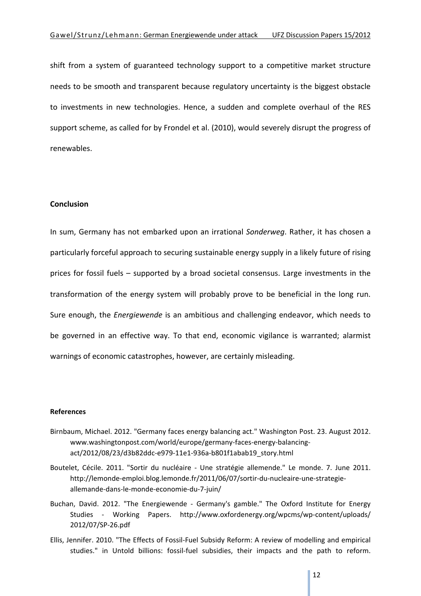shift from a system of guaranteed technology support to a competitive market structure needs to be smooth and transparent because regulatory uncertainty is the biggest obstacle to investments in new technologies. Hence, a sudden and complete overhaul of the RES support scheme, as called for by Frondel et al. (2010), would severely disrupt the progress of renewables.

#### **Conclusion**

In sum, Germany has not embarked upon an irrational *Sonderweg*. Rather, it has chosen a particularly forceful approach to securing sustainable energy supply in a likely future of rising prices for fossil fuels – supported by a broad societal consensus. Large investments in the transformation of the energy system will probably prove to be beneficial in the long run. Sure enough, the *Energiewende* is an ambitious and challenging endeavor, which needs to be governed in an effective way. To that end, economic vigilance is warranted; alarmist warnings of economic catastrophes, however, are certainly misleading.

#### **References**

- Birnbaum, Michael. 2012. "Germany faces energy balancing act." Washington Post. 23. August 2012. www.washingtonpost.com/world/europe/germany-faces-energy-balancingact/2012/08/23/d3b82ddc‐e979‐11e1‐936a‐b801f1abab19\_story.html
- Boutelet, Cécile. 2011. "Sortir du nucléaire Une stratégie allemende." Le monde. 7. June 2011. http://lemonde‐emploi.blog.lemonde.fr/2011/06/07/sortir‐du‐nucleaire‐une‐strategie‐ allemande‐dans‐le‐monde‐economie‐du‐7‐juin/
- Buchan, David. 2012. "The Energiewende ‐ Germany's gamble." The Oxford Institute for Energy Studies - Working Papers. http://www.oxfordenergy.org/wpcms/wp-content/uploads/ 2012/07/SP‐26.pdf
- Ellis, Jennifer. 2010. "The Effects of Fossil‐Fuel Subsidy Reform: A review of modelling and empirical studies." in Untold billions: fossil-fuel subsidies, their impacts and the path to reform.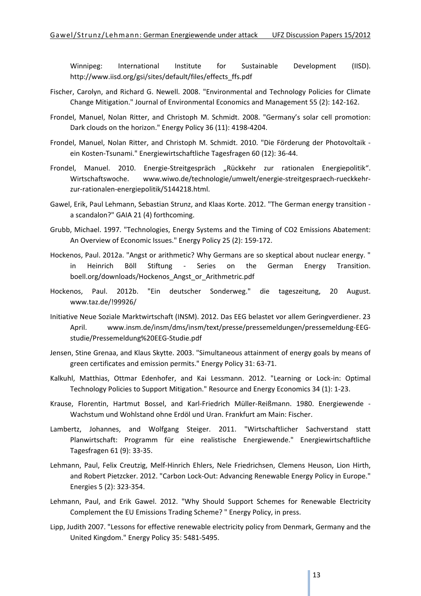Winnipeg: International Institute for Sustainable Development (IISD). http://www.iisd.org/gsi/sites/default/files/effects\_ffs.pdf

- Fischer, Carolyn, and Richard G. Newell. 2008. "Environmental and Technology Policies for Climate Change Mitigation." Journal of Environmental Economics and Management 55 (2): 142‐162.
- Frondel, Manuel, Nolan Ritter, and Christoph M. Schmidt. 2008. "Germany's solar cell promotion: Dark clouds on the horizon." Energy Policy 36 (11): 4198‐4204.
- Frondel, Manuel, Nolan Ritter, and Christoph M. Schmidt. 2010. "Die Förderung der Photovoltaik ‐ ein Kosten‐Tsunami." Energiewirtschaftliche Tagesfragen 60 (12): 36‐44.
- Frondel, Manuel. 2010. Energie-Streitgespräch "Rückkehr zur rationalen Energiepolitik". Wirtschaftswoche. www.wiwo.de/technologie/umwelt/energie-streitgespraech-rueckkehrzur-rationalen-energiepolitik/5144218.html.
- Gawel, Erik, Paul Lehmann, Sebastian Strunz, and Klaas Korte. 2012. "The German energy transition ‐ a scandalon?" GAIA 21 (4) forthcoming.
- Grubb, Michael. 1997. "Technologies, Energy Systems and the Timing of CO2 Emissions Abatement: An Overview of Economic Issues." Energy Policy 25 (2): 159‐172.
- Hockenos, Paul. 2012a. "Angst or arithmetic? Why Germans are so skeptical about nuclear energy. " in Heinrich Böll Stiftung - Series on the German Energy Transition. boell.org/downloads/Hockenos\_Angst\_or\_Arithmetric.pdf
- Hockenos, Paul. 2012b. "Ein deutscher Sonderweg." die tageszeitung, 20 August. www.taz.de/!99926/
- Initiative Neue Soziale Marktwirtschaft (INSM). 2012. Das EEG belastet vor allem Geringverdiener. 23 April. www.insm.de/insm/dms/insm/text/presse/pressemeldungen/pressemeldung‐EEG‐ studie/Pressemeldung%20EEG‐Studie.pdf
- Jensen, Stine Grenaa, and Klaus Skytte. 2003. "Simultaneous attainment of energy goals by means of green certificates and emission permits." Energy Policy 31: 63‐71.
- Kalkuhl, Matthias, Ottmar Edenhofer, and Kai Lessmann. 2012. "Learning or Lock‐in: Optimal Technology Policies to Support Mitigation." Resource and Energy Economics 34 (1): 1‐23.
- Krause, Florentin, Hartmut Bossel, and Karl‐Friedrich Müller‐Reißmann. 1980. Energiewende ‐ Wachstum und Wohlstand ohne Erdöl und Uran. Frankfurt am Main: Fischer.
- Lambertz, Johannes, and Wolfgang Steiger. 2011. "Wirtschaftlicher Sachverstand statt Planwirtschaft: Programm für eine realistische Energiewende." Energiewirtschaftliche Tagesfragen 61 (9): 33‐35.
- Lehmann, Paul, Felix Creutzig, Melf‐Hinrich Ehlers, Nele Friedrichsen, Clemens Heuson, Lion Hirth, and Robert Pietzcker. 2012. "Carbon Lock‐Out: Advancing Renewable Energy Policy in Europe." Energies 5 (2): 323‐354.
- Lehmann, Paul, and Erik Gawel. 2012. "Why Should Support Schemes for Renewable Electricity Complement the EU Emissions Trading Scheme? " Energy Policy, in press.
- Lipp, Judith 2007. "Lessons for effective renewable electricity policy from Denmark, Germany and the United Kingdom." Energy Policy 35: 5481‐5495.